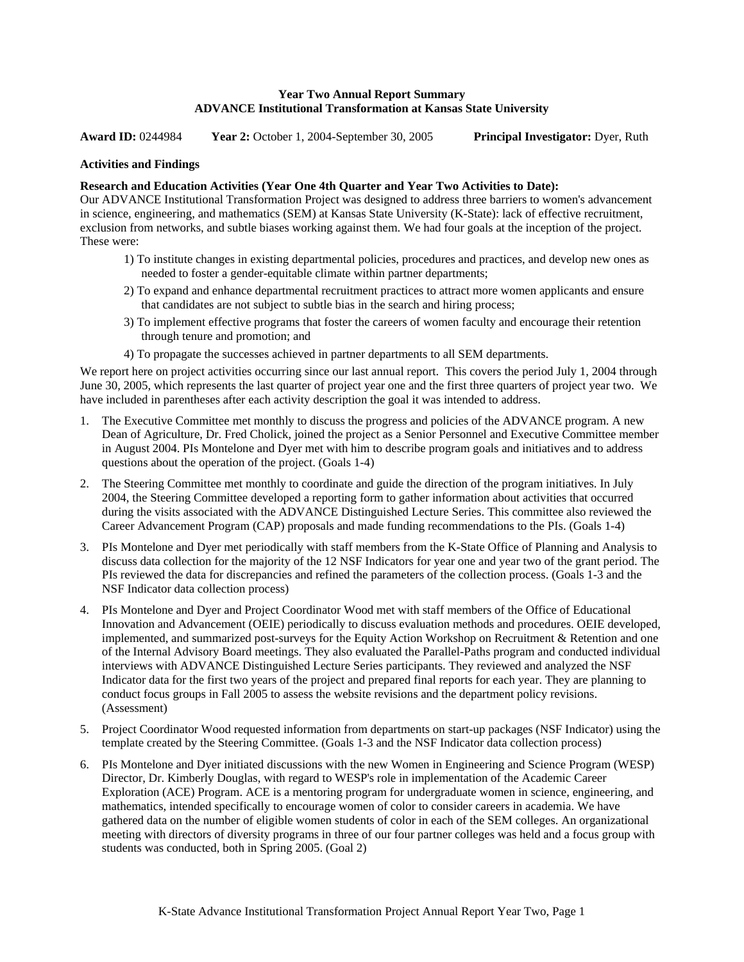# **Year Two Annual Report Summary ADVANCE Institutional Transformation at Kansas State University**

**Award ID:** 0244984 **Year 2:** October 1, 2004-September 30, 2005 **Principal Investigator:** Dyer, Ruth

#### **Activities and Findings**

#### **Research and Education Activities (Year One 4th Quarter and Year Two Activities to Date):**

Our ADVANCE Institutional Transformation Project was designed to address three barriers to women's advancement in science, engineering, and mathematics (SEM) at Kansas State University (K-State): lack of effective recruitment, exclusion from networks, and subtle biases working against them. We had four goals at the inception of the project. These were:

- 1) To institute changes in existing departmental policies, procedures and practices, and develop new ones as needed to foster a gender-equitable climate within partner departments;
- 2) To expand and enhance departmental recruitment practices to attract more women applicants and ensure that candidates are not subject to subtle bias in the search and hiring process;
- 3) To implement effective programs that foster the careers of women faculty and encourage their retention through tenure and promotion; and
- 4) To propagate the successes achieved in partner departments to all SEM departments.

We report here on project activities occurring since our last annual report. This covers the period July 1, 2004 through June 30, 2005, which represents the last quarter of project year one and the first three quarters of project year two. We have included in parentheses after each activity description the goal it was intended to address.

- 1. The Executive Committee met monthly to discuss the progress and policies of the ADVANCE program. A new Dean of Agriculture, Dr. Fred Cholick, joined the project as a Senior Personnel and Executive Committee member in August 2004. PIs Montelone and Dyer met with him to describe program goals and initiatives and to address questions about the operation of the project. (Goals 1-4)
- 2. The Steering Committee met monthly to coordinate and guide the direction of the program initiatives. In July 2004, the Steering Committee developed a reporting form to gather information about activities that occurred during the visits associated with the ADVANCE Distinguished Lecture Series. This committee also reviewed the Career Advancement Program (CAP) proposals and made funding recommendations to the PIs. (Goals 1-4)
- 3. PIs Montelone and Dyer met periodically with staff members from the K-State Office of Planning and Analysis to discuss data collection for the majority of the 12 NSF Indicators for year one and year two of the grant period. The PIs reviewed the data for discrepancies and refined the parameters of the collection process. (Goals 1-3 and the NSF Indicator data collection process)
- 4. PIs Montelone and Dyer and Project Coordinator Wood met with staff members of the Office of Educational Innovation and Advancement (OEIE) periodically to discuss evaluation methods and procedures. OEIE developed, implemented, and summarized post-surveys for the Equity Action Workshop on Recruitment & Retention and one of the Internal Advisory Board meetings. They also evaluated the Parallel-Paths program and conducted individual interviews with ADVANCE Distinguished Lecture Series participants. They reviewed and analyzed the NSF Indicator data for the first two years of the project and prepared final reports for each year. They are planning to conduct focus groups in Fall 2005 to assess the website revisions and the department policy revisions. (Assessment)
- 5. Project Coordinator Wood requested information from departments on start-up packages (NSF Indicator) using the template created by the Steering Committee. (Goals 1-3 and the NSF Indicator data collection process)
- 6. PIs Montelone and Dyer initiated discussions with the new Women in Engineering and Science Program (WESP) Director, Dr. Kimberly Douglas, with regard to WESP's role in implementation of the Academic Career Exploration (ACE) Program. ACE is a mentoring program for undergraduate women in science, engineering, and mathematics, intended specifically to encourage women of color to consider careers in academia. We have gathered data on the number of eligible women students of color in each of the SEM colleges. An organizational meeting with directors of diversity programs in three of our four partner colleges was held and a focus group with students was conducted, both in Spring 2005. (Goal 2)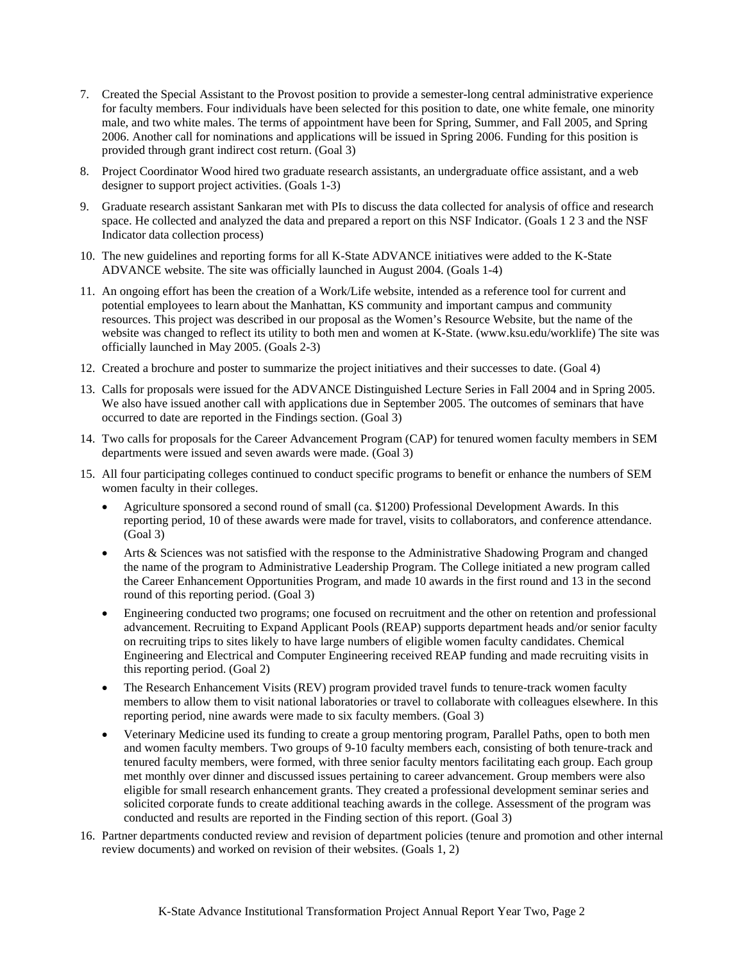- 7. Created the Special Assistant to the Provost position to provide a semester-long central administrative experience for faculty members. Four individuals have been selected for this position to date, one white female, one minority male, and two white males. The terms of appointment have been for Spring, Summer, and Fall 2005, and Spring 2006. Another call for nominations and applications will be issued in Spring 2006. Funding for this position is provided through grant indirect cost return. (Goal 3)
- 8. Project Coordinator Wood hired two graduate research assistants, an undergraduate office assistant, and a web designer to support project activities. (Goals 1-3)
- 9. Graduate research assistant Sankaran met with PIs to discuss the data collected for analysis of office and research space. He collected and analyzed the data and prepared a report on this NSF Indicator. (Goals 1 2 3 and the NSF Indicator data collection process)
- 10. The new guidelines and reporting forms for all K-State ADVANCE initiatives were added to the K-State ADVANCE website. The site was officially launched in August 2004. (Goals 1-4)
- 11. An ongoing effort has been the creation of a Work/Life website, intended as a reference tool for current and potential employees to learn about the Manhattan, KS community and important campus and community resources. This project was described in our proposal as the Women's Resource Website, but the name of the website was changed to reflect its utility to both men and women at K-State. (www.ksu.edu/worklife) The site was officially launched in May 2005. (Goals 2-3)
- 12. Created a brochure and poster to summarize the project initiatives and their successes to date. (Goal 4)
- 13. Calls for proposals were issued for the ADVANCE Distinguished Lecture Series in Fall 2004 and in Spring 2005. We also have issued another call with applications due in September 2005. The outcomes of seminars that have occurred to date are reported in the Findings section. (Goal 3)
- 14. Two calls for proposals for the Career Advancement Program (CAP) for tenured women faculty members in SEM departments were issued and seven awards were made. (Goal 3)
- 15. All four participating colleges continued to conduct specific programs to benefit or enhance the numbers of SEM women faculty in their colleges.
	- Agriculture sponsored a second round of small (ca. \$1200) Professional Development Awards. In this reporting period, 10 of these awards were made for travel, visits to collaborators, and conference attendance. (Goal 3)
	- Arts & Sciences was not satisfied with the response to the Administrative Shadowing Program and changed the name of the program to Administrative Leadership Program. The College initiated a new program called the Career Enhancement Opportunities Program, and made 10 awards in the first round and 13 in the second round of this reporting period. (Goal 3)
	- Engineering conducted two programs; one focused on recruitment and the other on retention and professional advancement. Recruiting to Expand Applicant Pools (REAP) supports department heads and/or senior faculty on recruiting trips to sites likely to have large numbers of eligible women faculty candidates. Chemical Engineering and Electrical and Computer Engineering received REAP funding and made recruiting visits in this reporting period. (Goal 2)
	- The Research Enhancement Visits (REV) program provided travel funds to tenure-track women faculty members to allow them to visit national laboratories or travel to collaborate with colleagues elsewhere. In this reporting period, nine awards were made to six faculty members. (Goal 3)
	- Veterinary Medicine used its funding to create a group mentoring program, Parallel Paths, open to both men and women faculty members. Two groups of 9-10 faculty members each, consisting of both tenure-track and tenured faculty members, were formed, with three senior faculty mentors facilitating each group. Each group met monthly over dinner and discussed issues pertaining to career advancement. Group members were also eligible for small research enhancement grants. They created a professional development seminar series and solicited corporate funds to create additional teaching awards in the college. Assessment of the program was conducted and results are reported in the Finding section of this report. (Goal 3)
- 16. Partner departments conducted review and revision of department policies (tenure and promotion and other internal review documents) and worked on revision of their websites. (Goals 1, 2)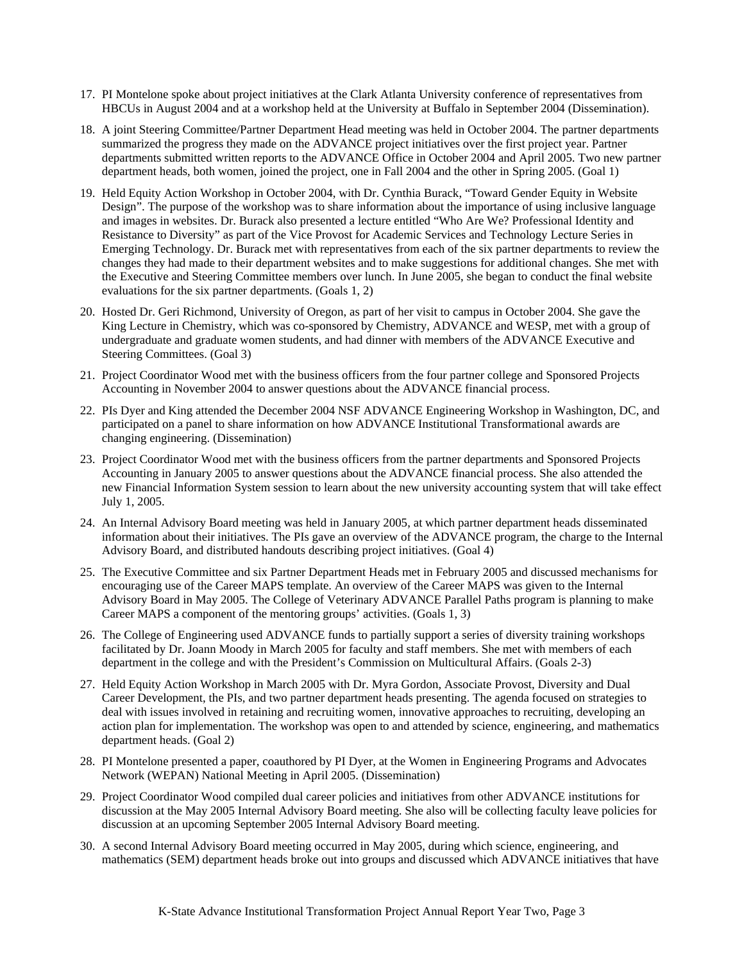- 17. PI Montelone spoke about project initiatives at the Clark Atlanta University conference of representatives from HBCUs in August 2004 and at a workshop held at the University at Buffalo in September 2004 (Dissemination).
- 18. A joint Steering Committee/Partner Department Head meeting was held in October 2004. The partner departments summarized the progress they made on the ADVANCE project initiatives over the first project year. Partner departments submitted written reports to the ADVANCE Office in October 2004 and April 2005. Two new partner department heads, both women, joined the project, one in Fall 2004 and the other in Spring 2005. (Goal 1)
- 19. Held Equity Action Workshop in October 2004, with Dr. Cynthia Burack, "Toward Gender Equity in Website Design". The purpose of the workshop was to share information about the importance of using inclusive language and images in websites. Dr. Burack also presented a lecture entitled "Who Are We? Professional Identity and Resistance to Diversity" as part of the Vice Provost for Academic Services and Technology Lecture Series in Emerging Technology. Dr. Burack met with representatives from each of the six partner departments to review the changes they had made to their department websites and to make suggestions for additional changes. She met with the Executive and Steering Committee members over lunch. In June 2005, she began to conduct the final website evaluations for the six partner departments. (Goals 1, 2)
- 20. Hosted Dr. Geri Richmond, University of Oregon, as part of her visit to campus in October 2004. She gave the King Lecture in Chemistry, which was co-sponsored by Chemistry, ADVANCE and WESP, met with a group of undergraduate and graduate women students, and had dinner with members of the ADVANCE Executive and Steering Committees. (Goal 3)
- 21. Project Coordinator Wood met with the business officers from the four partner college and Sponsored Projects Accounting in November 2004 to answer questions about the ADVANCE financial process.
- 22. PIs Dyer and King attended the December 2004 NSF ADVANCE Engineering Workshop in Washington, DC, and participated on a panel to share information on how ADVANCE Institutional Transformational awards are changing engineering. (Dissemination)
- 23. Project Coordinator Wood met with the business officers from the partner departments and Sponsored Projects Accounting in January 2005 to answer questions about the ADVANCE financial process. She also attended the new Financial Information System session to learn about the new university accounting system that will take effect July 1, 2005.
- 24. An Internal Advisory Board meeting was held in January 2005, at which partner department heads disseminated information about their initiatives. The PIs gave an overview of the ADVANCE program, the charge to the Internal Advisory Board, and distributed handouts describing project initiatives. (Goal 4)
- 25. The Executive Committee and six Partner Department Heads met in February 2005 and discussed mechanisms for encouraging use of the Career MAPS template. An overview of the Career MAPS was given to the Internal Advisory Board in May 2005. The College of Veterinary ADVANCE Parallel Paths program is planning to make Career MAPS a component of the mentoring groups' activities. (Goals 1, 3)
- 26. The College of Engineering used ADVANCE funds to partially support a series of diversity training workshops facilitated by Dr. Joann Moody in March 2005 for faculty and staff members. She met with members of each department in the college and with the President's Commission on Multicultural Affairs. (Goals 2-3)
- 27. Held Equity Action Workshop in March 2005 with Dr. Myra Gordon, Associate Provost, Diversity and Dual Career Development, the PIs, and two partner department heads presenting. The agenda focused on strategies to deal with issues involved in retaining and recruiting women, innovative approaches to recruiting, developing an action plan for implementation. The workshop was open to and attended by science, engineering, and mathematics department heads. (Goal 2)
- 28. PI Montelone presented a paper, coauthored by PI Dyer, at the Women in Engineering Programs and Advocates Network (WEPAN) National Meeting in April 2005. (Dissemination)
- 29. Project Coordinator Wood compiled dual career policies and initiatives from other ADVANCE institutions for discussion at the May 2005 Internal Advisory Board meeting. She also will be collecting faculty leave policies for discussion at an upcoming September 2005 Internal Advisory Board meeting.
- 30. A second Internal Advisory Board meeting occurred in May 2005, during which science, engineering, and mathematics (SEM) department heads broke out into groups and discussed which ADVANCE initiatives that have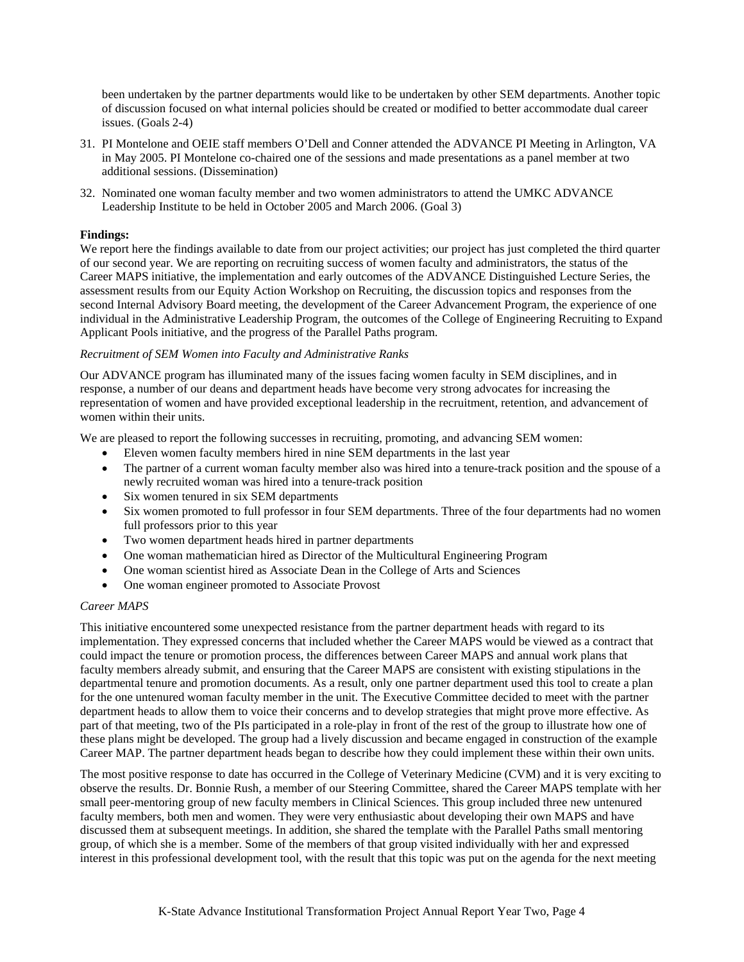been undertaken by the partner departments would like to be undertaken by other SEM departments. Another topic of discussion focused on what internal policies should be created or modified to better accommodate dual career issues. (Goals 2-4)

- 31. PI Montelone and OEIE staff members O'Dell and Conner attended the ADVANCE PI Meeting in Arlington, VA in May 2005. PI Montelone co-chaired one of the sessions and made presentations as a panel member at two additional sessions. (Dissemination)
- 32. Nominated one woman faculty member and two women administrators to attend the UMKC ADVANCE Leadership Institute to be held in October 2005 and March 2006. (Goal 3)

# **Findings:**

We report here the findings available to date from our project activities; our project has just completed the third quarter of our second year. We are reporting on recruiting success of women faculty and administrators, the status of the Career MAPS initiative, the implementation and early outcomes of the ADVANCE Distinguished Lecture Series, the assessment results from our Equity Action Workshop on Recruiting, the discussion topics and responses from the second Internal Advisory Board meeting, the development of the Career Advancement Program, the experience of one individual in the Administrative Leadership Program, the outcomes of the College of Engineering Recruiting to Expand Applicant Pools initiative, and the progress of the Parallel Paths program.

## *Recruitment of SEM Women into Faculty and Administrative Ranks*

Our ADVANCE program has illuminated many of the issues facing women faculty in SEM disciplines, and in response, a number of our deans and department heads have become very strong advocates for increasing the representation of women and have provided exceptional leadership in the recruitment, retention, and advancement of women within their units.

We are pleased to report the following successes in recruiting, promoting, and advancing SEM women:

- Eleven women faculty members hired in nine SEM departments in the last year
- The partner of a current woman faculty member also was hired into a tenure-track position and the spouse of a newly recruited woman was hired into a tenure-track position
- Six women tenured in six SEM departments
- Six women promoted to full professor in four SEM departments. Three of the four departments had no women full professors prior to this year
- Two women department heads hired in partner departments
- One woman mathematician hired as Director of the Multicultural Engineering Program
- One woman scientist hired as Associate Dean in the College of Arts and Sciences
- One woman engineer promoted to Associate Provost

## *Career MAPS*

This initiative encountered some unexpected resistance from the partner department heads with regard to its implementation. They expressed concerns that included whether the Career MAPS would be viewed as a contract that could impact the tenure or promotion process, the differences between Career MAPS and annual work plans that faculty members already submit, and ensuring that the Career MAPS are consistent with existing stipulations in the departmental tenure and promotion documents. As a result, only one partner department used this tool to create a plan for the one untenured woman faculty member in the unit. The Executive Committee decided to meet with the partner department heads to allow them to voice their concerns and to develop strategies that might prove more effective. As part of that meeting, two of the PIs participated in a role-play in front of the rest of the group to illustrate how one of these plans might be developed. The group had a lively discussion and became engaged in construction of the example Career MAP. The partner department heads began to describe how they could implement these within their own units.

The most positive response to date has occurred in the College of Veterinary Medicine (CVM) and it is very exciting to observe the results. Dr. Bonnie Rush, a member of our Steering Committee, shared the Career MAPS template with her small peer-mentoring group of new faculty members in Clinical Sciences. This group included three new untenured faculty members, both men and women. They were very enthusiastic about developing their own MAPS and have discussed them at subsequent meetings. In addition, she shared the template with the Parallel Paths small mentoring group, of which she is a member. Some of the members of that group visited individually with her and expressed interest in this professional development tool, with the result that this topic was put on the agenda for the next meeting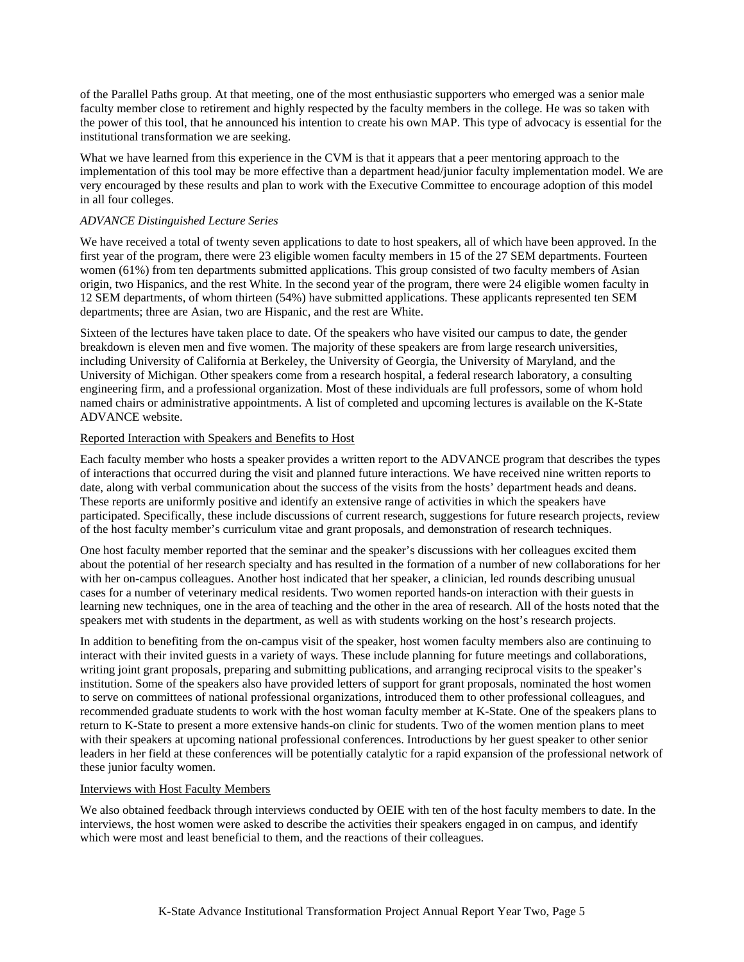of the Parallel Paths group. At that meeting, one of the most enthusiastic supporters who emerged was a senior male faculty member close to retirement and highly respected by the faculty members in the college. He was so taken with the power of this tool, that he announced his intention to create his own MAP. This type of advocacy is essential for the institutional transformation we are seeking.

What we have learned from this experience in the CVM is that it appears that a peer mentoring approach to the implementation of this tool may be more effective than a department head/junior faculty implementation model. We are very encouraged by these results and plan to work with the Executive Committee to encourage adoption of this model in all four colleges.

## *ADVANCE Distinguished Lecture Series*

We have received a total of twenty seven applications to date to host speakers, all of which have been approved. In the first year of the program, there were 23 eligible women faculty members in 15 of the 27 SEM departments. Fourteen women (61%) from ten departments submitted applications. This group consisted of two faculty members of Asian origin, two Hispanics, and the rest White. In the second year of the program, there were 24 eligible women faculty in 12 SEM departments, of whom thirteen (54%) have submitted applications. These applicants represented ten SEM departments; three are Asian, two are Hispanic, and the rest are White.

Sixteen of the lectures have taken place to date. Of the speakers who have visited our campus to date, the gender breakdown is eleven men and five women. The majority of these speakers are from large research universities, including University of California at Berkeley, the University of Georgia, the University of Maryland, and the University of Michigan. Other speakers come from a research hospital, a federal research laboratory, a consulting engineering firm, and a professional organization. Most of these individuals are full professors, some of whom hold named chairs or administrative appointments. A list of completed and upcoming lectures is available on the K-State ADVANCE website.

## Reported Interaction with Speakers and Benefits to Host

Each faculty member who hosts a speaker provides a written report to the ADVANCE program that describes the types of interactions that occurred during the visit and planned future interactions. We have received nine written reports to date, along with verbal communication about the success of the visits from the hosts' department heads and deans. These reports are uniformly positive and identify an extensive range of activities in which the speakers have participated. Specifically, these include discussions of current research, suggestions for future research projects, review of the host faculty member's curriculum vitae and grant proposals, and demonstration of research techniques.

One host faculty member reported that the seminar and the speaker's discussions with her colleagues excited them about the potential of her research specialty and has resulted in the formation of a number of new collaborations for her with her on-campus colleagues. Another host indicated that her speaker, a clinician, led rounds describing unusual cases for a number of veterinary medical residents. Two women reported hands-on interaction with their guests in learning new techniques, one in the area of teaching and the other in the area of research. All of the hosts noted that the speakers met with students in the department, as well as with students working on the host's research projects.

In addition to benefiting from the on-campus visit of the speaker, host women faculty members also are continuing to interact with their invited guests in a variety of ways. These include planning for future meetings and collaborations, writing joint grant proposals, preparing and submitting publications, and arranging reciprocal visits to the speaker's institution. Some of the speakers also have provided letters of support for grant proposals, nominated the host women to serve on committees of national professional organizations, introduced them to other professional colleagues, and recommended graduate students to work with the host woman faculty member at K-State. One of the speakers plans to return to K-State to present a more extensive hands-on clinic for students. Two of the women mention plans to meet with their speakers at upcoming national professional conferences. Introductions by her guest speaker to other senior leaders in her field at these conferences will be potentially catalytic for a rapid expansion of the professional network of these junior faculty women.

# Interviews with Host Faculty Members

We also obtained feedback through interviews conducted by OEIE with ten of the host faculty members to date. In the interviews, the host women were asked to describe the activities their speakers engaged in on campus, and identify which were most and least beneficial to them, and the reactions of their colleagues.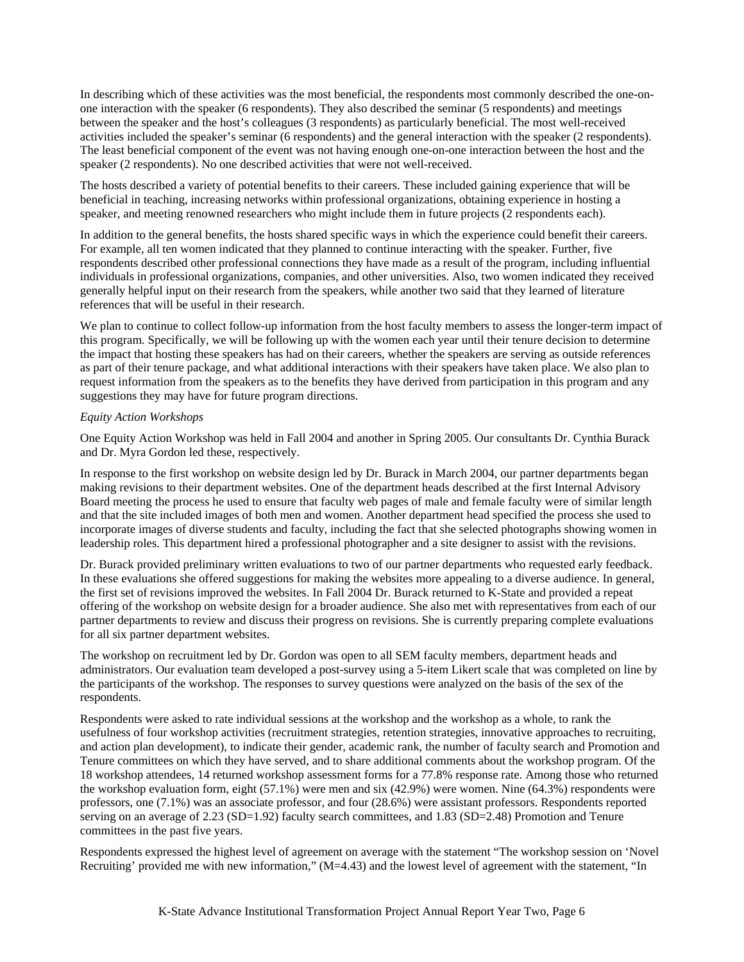In describing which of these activities was the most beneficial, the respondents most commonly described the one-onone interaction with the speaker (6 respondents). They also described the seminar (5 respondents) and meetings between the speaker and the host's colleagues (3 respondents) as particularly beneficial. The most well-received activities included the speaker's seminar (6 respondents) and the general interaction with the speaker (2 respondents). The least beneficial component of the event was not having enough one-on-one interaction between the host and the speaker (2 respondents). No one described activities that were not well-received.

The hosts described a variety of potential benefits to their careers. These included gaining experience that will be beneficial in teaching, increasing networks within professional organizations, obtaining experience in hosting a speaker, and meeting renowned researchers who might include them in future projects (2 respondents each).

In addition to the general benefits, the hosts shared specific ways in which the experience could benefit their careers. For example, all ten women indicated that they planned to continue interacting with the speaker. Further, five respondents described other professional connections they have made as a result of the program, including influential individuals in professional organizations, companies, and other universities. Also, two women indicated they received generally helpful input on their research from the speakers, while another two said that they learned of literature references that will be useful in their research.

We plan to continue to collect follow-up information from the host faculty members to assess the longer-term impact of this program. Specifically, we will be following up with the women each year until their tenure decision to determine the impact that hosting these speakers has had on their careers, whether the speakers are serving as outside references as part of their tenure package, and what additional interactions with their speakers have taken place. We also plan to request information from the speakers as to the benefits they have derived from participation in this program and any suggestions they may have for future program directions.

# *Equity Action Workshops*

One Equity Action Workshop was held in Fall 2004 and another in Spring 2005. Our consultants Dr. Cynthia Burack and Dr. Myra Gordon led these, respectively.

In response to the first workshop on website design led by Dr. Burack in March 2004, our partner departments began making revisions to their department websites. One of the department heads described at the first Internal Advisory Board meeting the process he used to ensure that faculty web pages of male and female faculty were of similar length and that the site included images of both men and women. Another department head specified the process she used to incorporate images of diverse students and faculty, including the fact that she selected photographs showing women in leadership roles. This department hired a professional photographer and a site designer to assist with the revisions.

Dr. Burack provided preliminary written evaluations to two of our partner departments who requested early feedback. In these evaluations she offered suggestions for making the websites more appealing to a diverse audience. In general, the first set of revisions improved the websites. In Fall 2004 Dr. Burack returned to K-State and provided a repeat offering of the workshop on website design for a broader audience. She also met with representatives from each of our partner departments to review and discuss their progress on revisions. She is currently preparing complete evaluations for all six partner department websites.

The workshop on recruitment led by Dr. Gordon was open to all SEM faculty members, department heads and administrators. Our evaluation team developed a post-survey using a 5-item Likert scale that was completed on line by the participants of the workshop. The responses to survey questions were analyzed on the basis of the sex of the respondents.

Respondents were asked to rate individual sessions at the workshop and the workshop as a whole, to rank the usefulness of four workshop activities (recruitment strategies, retention strategies, innovative approaches to recruiting, and action plan development), to indicate their gender, academic rank, the number of faculty search and Promotion and Tenure committees on which they have served, and to share additional comments about the workshop program. Of the 18 workshop attendees, 14 returned workshop assessment forms for a 77.8% response rate. Among those who returned the workshop evaluation form, eight (57.1%) were men and six (42.9%) were women. Nine (64.3%) respondents were professors, one (7.1%) was an associate professor, and four (28.6%) were assistant professors. Respondents reported serving on an average of 2.23 (SD=1.92) faculty search committees, and 1.83 (SD=2.48) Promotion and Tenure committees in the past five years.

Respondents expressed the highest level of agreement on average with the statement "The workshop session on 'Novel Recruiting' provided me with new information," (M=4.43) and the lowest level of agreement with the statement, "In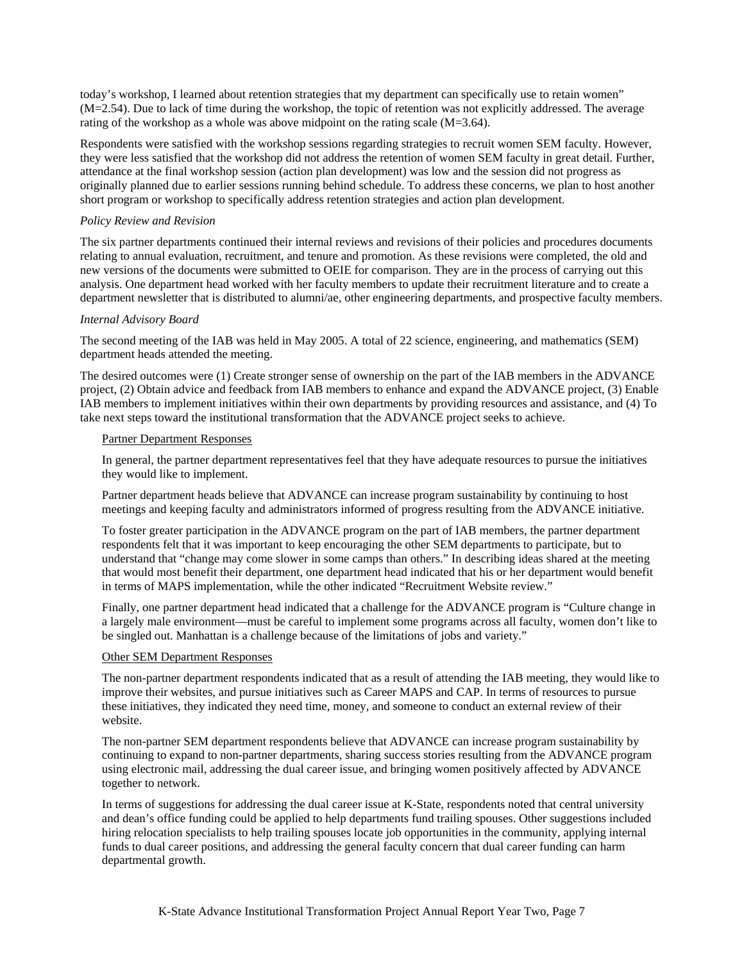today's workshop, I learned about retention strategies that my department can specifically use to retain women" (M=2.54). Due to lack of time during the workshop, the topic of retention was not explicitly addressed. The average rating of the workshop as a whole was above midpoint on the rating scale (M=3.64).

Respondents were satisfied with the workshop sessions regarding strategies to recruit women SEM faculty. However, they were less satisfied that the workshop did not address the retention of women SEM faculty in great detail. Further, attendance at the final workshop session (action plan development) was low and the session did not progress as originally planned due to earlier sessions running behind schedule. To address these concerns, we plan to host another short program or workshop to specifically address retention strategies and action plan development.

# *Policy Review and Revision*

The six partner departments continued their internal reviews and revisions of their policies and procedures documents relating to annual evaluation, recruitment, and tenure and promotion. As these revisions were completed, the old and new versions of the documents were submitted to OEIE for comparison. They are in the process of carrying out this analysis. One department head worked with her faculty members to update their recruitment literature and to create a department newsletter that is distributed to alumni/ae, other engineering departments, and prospective faculty members.

# *Internal Advisory Board*

The second meeting of the IAB was held in May 2005. A total of 22 science, engineering, and mathematics (SEM) department heads attended the meeting.

The desired outcomes were (1) Create stronger sense of ownership on the part of the IAB members in the ADVANCE project, (2) Obtain advice and feedback from IAB members to enhance and expand the ADVANCE project, (3) Enable IAB members to implement initiatives within their own departments by providing resources and assistance, and (4) To take next steps toward the institutional transformation that the ADVANCE project seeks to achieve.

## Partner Department Responses

In general, the partner department representatives feel that they have adequate resources to pursue the initiatives they would like to implement.

Partner department heads believe that ADVANCE can increase program sustainability by continuing to host meetings and keeping faculty and administrators informed of progress resulting from the ADVANCE initiative.

To foster greater participation in the ADVANCE program on the part of IAB members, the partner department respondents felt that it was important to keep encouraging the other SEM departments to participate, but to understand that "change may come slower in some camps than others." In describing ideas shared at the meeting that would most benefit their department, one department head indicated that his or her department would benefit in terms of MAPS implementation, while the other indicated "Recruitment Website review."

Finally, one partner department head indicated that a challenge for the ADVANCE program is "Culture change in a largely male environment—must be careful to implement some programs across all faculty, women don't like to be singled out. Manhattan is a challenge because of the limitations of jobs and variety."

# Other SEM Department Responses

The non-partner department respondents indicated that as a result of attending the IAB meeting, they would like to improve their websites, and pursue initiatives such as Career MAPS and CAP. In terms of resources to pursue these initiatives, they indicated they need time, money, and someone to conduct an external review of their website.

The non-partner SEM department respondents believe that ADVANCE can increase program sustainability by continuing to expand to non-partner departments, sharing success stories resulting from the ADVANCE program using electronic mail, addressing the dual career issue, and bringing women positively affected by ADVANCE together to network.

In terms of suggestions for addressing the dual career issue at K-State, respondents noted that central university and dean's office funding could be applied to help departments fund trailing spouses. Other suggestions included hiring relocation specialists to help trailing spouses locate job opportunities in the community, applying internal funds to dual career positions, and addressing the general faculty concern that dual career funding can harm departmental growth.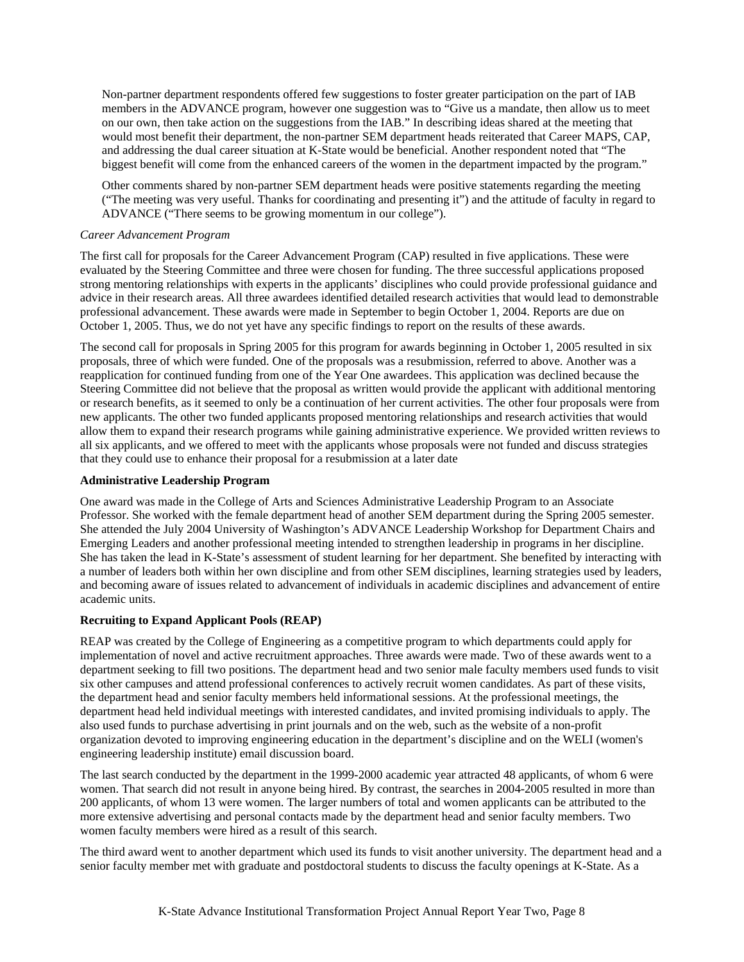Non-partner department respondents offered few suggestions to foster greater participation on the part of IAB members in the ADVANCE program, however one suggestion was to "Give us a mandate, then allow us to meet on our own, then take action on the suggestions from the IAB." In describing ideas shared at the meeting that would most benefit their department, the non-partner SEM department heads reiterated that Career MAPS, CAP, and addressing the dual career situation at K-State would be beneficial. Another respondent noted that "The biggest benefit will come from the enhanced careers of the women in the department impacted by the program."

Other comments shared by non-partner SEM department heads were positive statements regarding the meeting ("The meeting was very useful. Thanks for coordinating and presenting it") and the attitude of faculty in regard to ADVANCE ("There seems to be growing momentum in our college").

## *Career Advancement Program*

The first call for proposals for the Career Advancement Program (CAP) resulted in five applications. These were evaluated by the Steering Committee and three were chosen for funding. The three successful applications proposed strong mentoring relationships with experts in the applicants' disciplines who could provide professional guidance and advice in their research areas. All three awardees identified detailed research activities that would lead to demonstrable professional advancement. These awards were made in September to begin October 1, 2004. Reports are due on October 1, 2005. Thus, we do not yet have any specific findings to report on the results of these awards.

The second call for proposals in Spring 2005 for this program for awards beginning in October 1, 2005 resulted in six proposals, three of which were funded. One of the proposals was a resubmission, referred to above. Another was a reapplication for continued funding from one of the Year One awardees. This application was declined because the Steering Committee did not believe that the proposal as written would provide the applicant with additional mentoring or research benefits, as it seemed to only be a continuation of her current activities. The other four proposals were from new applicants. The other two funded applicants proposed mentoring relationships and research activities that would allow them to expand their research programs while gaining administrative experience. We provided written reviews to all six applicants, and we offered to meet with the applicants whose proposals were not funded and discuss strategies that they could use to enhance their proposal for a resubmission at a later date

#### **Administrative Leadership Program**

One award was made in the College of Arts and Sciences Administrative Leadership Program to an Associate Professor. She worked with the female department head of another SEM department during the Spring 2005 semester. She attended the July 2004 University of Washington's ADVANCE Leadership Workshop for Department Chairs and Emerging Leaders and another professional meeting intended to strengthen leadership in programs in her discipline. She has taken the lead in K-State's assessment of student learning for her department. She benefited by interacting with a number of leaders both within her own discipline and from other SEM disciplines, learning strategies used by leaders, and becoming aware of issues related to advancement of individuals in academic disciplines and advancement of entire academic units.

# **Recruiting to Expand Applicant Pools (REAP)**

REAP was created by the College of Engineering as a competitive program to which departments could apply for implementation of novel and active recruitment approaches. Three awards were made. Two of these awards went to a department seeking to fill two positions. The department head and two senior male faculty members used funds to visit six other campuses and attend professional conferences to actively recruit women candidates. As part of these visits, the department head and senior faculty members held informational sessions. At the professional meetings, the department head held individual meetings with interested candidates, and invited promising individuals to apply. The also used funds to purchase advertising in print journals and on the web, such as the website of a non-profit organization devoted to improving engineering education in the department's discipline and on the WELI (women's engineering leadership institute) email discussion board.

The last search conducted by the department in the 1999-2000 academic year attracted 48 applicants, of whom 6 were women. That search did not result in anyone being hired. By contrast, the searches in 2004-2005 resulted in more than 200 applicants, of whom 13 were women. The larger numbers of total and women applicants can be attributed to the more extensive advertising and personal contacts made by the department head and senior faculty members. Two women faculty members were hired as a result of this search.

The third award went to another department which used its funds to visit another university. The department head and a senior faculty member met with graduate and postdoctoral students to discuss the faculty openings at K-State. As a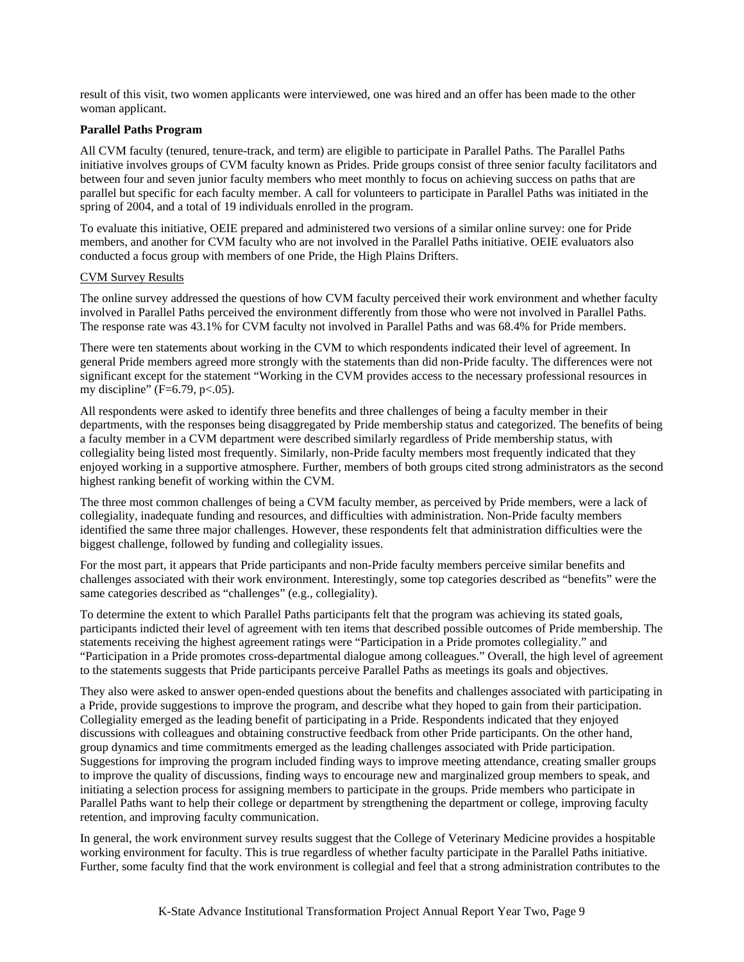result of this visit, two women applicants were interviewed, one was hired and an offer has been made to the other woman applicant.

## **Parallel Paths Program**

All CVM faculty (tenured, tenure-track, and term) are eligible to participate in Parallel Paths. The Parallel Paths initiative involves groups of CVM faculty known as Prides. Pride groups consist of three senior faculty facilitators and between four and seven junior faculty members who meet monthly to focus on achieving success on paths that are parallel but specific for each faculty member. A call for volunteers to participate in Parallel Paths was initiated in the spring of 2004, and a total of 19 individuals enrolled in the program.

To evaluate this initiative, OEIE prepared and administered two versions of a similar online survey: one for Pride members, and another for CVM faculty who are not involved in the Parallel Paths initiative. OEIE evaluators also conducted a focus group with members of one Pride, the High Plains Drifters.

## CVM Survey Results

The online survey addressed the questions of how CVM faculty perceived their work environment and whether faculty involved in Parallel Paths perceived the environment differently from those who were not involved in Parallel Paths. The response rate was 43.1% for CVM faculty not involved in Parallel Paths and was 68.4% for Pride members.

There were ten statements about working in the CVM to which respondents indicated their level of agreement. In general Pride members agreed more strongly with the statements than did non-Pride faculty. The differences were not significant except for the statement "Working in the CVM provides access to the necessary professional resources in my discipline" ( $F=6.79$ ,  $p<.05$ ).

All respondents were asked to identify three benefits and three challenges of being a faculty member in their departments, with the responses being disaggregated by Pride membership status and categorized. The benefits of being a faculty member in a CVM department were described similarly regardless of Pride membership status, with collegiality being listed most frequently. Similarly, non-Pride faculty members most frequently indicated that they enjoyed working in a supportive atmosphere. Further, members of both groups cited strong administrators as the second highest ranking benefit of working within the CVM.

The three most common challenges of being a CVM faculty member, as perceived by Pride members, were a lack of collegiality, inadequate funding and resources, and difficulties with administration. Non-Pride faculty members identified the same three major challenges. However, these respondents felt that administration difficulties were the biggest challenge, followed by funding and collegiality issues.

For the most part, it appears that Pride participants and non-Pride faculty members perceive similar benefits and challenges associated with their work environment. Interestingly, some top categories described as "benefits" were the same categories described as "challenges" (e.g., collegiality).

To determine the extent to which Parallel Paths participants felt that the program was achieving its stated goals, participants indicted their level of agreement with ten items that described possible outcomes of Pride membership. The statements receiving the highest agreement ratings were "Participation in a Pride promotes collegiality." and "Participation in a Pride promotes cross-departmental dialogue among colleagues." Overall, the high level of agreement to the statements suggests that Pride participants perceive Parallel Paths as meetings its goals and objectives.

They also were asked to answer open-ended questions about the benefits and challenges associated with participating in a Pride, provide suggestions to improve the program, and describe what they hoped to gain from their participation. Collegiality emerged as the leading benefit of participating in a Pride. Respondents indicated that they enjoyed discussions with colleagues and obtaining constructive feedback from other Pride participants. On the other hand, group dynamics and time commitments emerged as the leading challenges associated with Pride participation. Suggestions for improving the program included finding ways to improve meeting attendance, creating smaller groups to improve the quality of discussions, finding ways to encourage new and marginalized group members to speak, and initiating a selection process for assigning members to participate in the groups. Pride members who participate in Parallel Paths want to help their college or department by strengthening the department or college, improving faculty retention, and improving faculty communication.

In general, the work environment survey results suggest that the College of Veterinary Medicine provides a hospitable working environment for faculty. This is true regardless of whether faculty participate in the Parallel Paths initiative. Further, some faculty find that the work environment is collegial and feel that a strong administration contributes to the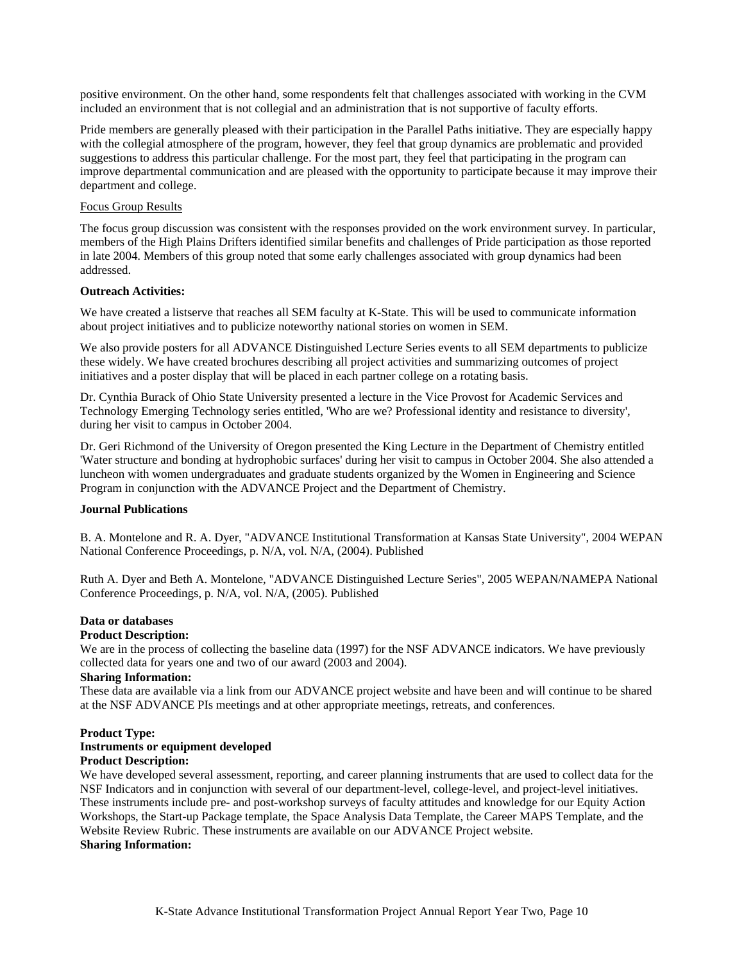positive environment. On the other hand, some respondents felt that challenges associated with working in the CVM included an environment that is not collegial and an administration that is not supportive of faculty efforts.

Pride members are generally pleased with their participation in the Parallel Paths initiative. They are especially happy with the collegial atmosphere of the program, however, they feel that group dynamics are problematic and provided suggestions to address this particular challenge. For the most part, they feel that participating in the program can improve departmental communication and are pleased with the opportunity to participate because it may improve their department and college.

## Focus Group Results

The focus group discussion was consistent with the responses provided on the work environment survey. In particular, members of the High Plains Drifters identified similar benefits and challenges of Pride participation as those reported in late 2004. Members of this group noted that some early challenges associated with group dynamics had been addressed.

## **Outreach Activities:**

We have created a listserve that reaches all SEM faculty at K-State. This will be used to communicate information about project initiatives and to publicize noteworthy national stories on women in SEM.

We also provide posters for all ADVANCE Distinguished Lecture Series events to all SEM departments to publicize these widely. We have created brochures describing all project activities and summarizing outcomes of project initiatives and a poster display that will be placed in each partner college on a rotating basis.

Dr. Cynthia Burack of Ohio State University presented a lecture in the Vice Provost for Academic Services and Technology Emerging Technology series entitled, 'Who are we? Professional identity and resistance to diversity', during her visit to campus in October 2004.

Dr. Geri Richmond of the University of Oregon presented the King Lecture in the Department of Chemistry entitled 'Water structure and bonding at hydrophobic surfaces' during her visit to campus in October 2004. She also attended a luncheon with women undergraduates and graduate students organized by the Women in Engineering and Science Program in conjunction with the ADVANCE Project and the Department of Chemistry.

#### **Journal Publications**

B. A. Montelone and R. A. Dyer, "ADVANCE Institutional Transformation at Kansas State University", 2004 WEPAN National Conference Proceedings, p. N/A, vol. N/A, (2004). Published

Ruth A. Dyer and Beth A. Montelone, "ADVANCE Distinguished Lecture Series", 2005 WEPAN/NAMEPA National Conference Proceedings, p. N/A, vol. N/A, (2005). Published

## **Data or databases**

#### **Product Description:**

We are in the process of collecting the baseline data (1997) for the NSF ADVANCE indicators. We have previously collected data for years one and two of our award (2003 and 2004).

#### **Sharing Information:**

These data are available via a link from our ADVANCE project website and have been and will continue to be shared at the NSF ADVANCE PIs meetings and at other appropriate meetings, retreats, and conferences.

# **Product Type: Instruments or equipment developed**

# **Product Description:**

We have developed several assessment, reporting, and career planning instruments that are used to collect data for the NSF Indicators and in conjunction with several of our department-level, college-level, and project-level initiatives. These instruments include pre- and post-workshop surveys of faculty attitudes and knowledge for our Equity Action Workshops, the Start-up Package template, the Space Analysis Data Template, the Career MAPS Template, and the Website Review Rubric. These instruments are available on our ADVANCE Project website. **Sharing Information:**